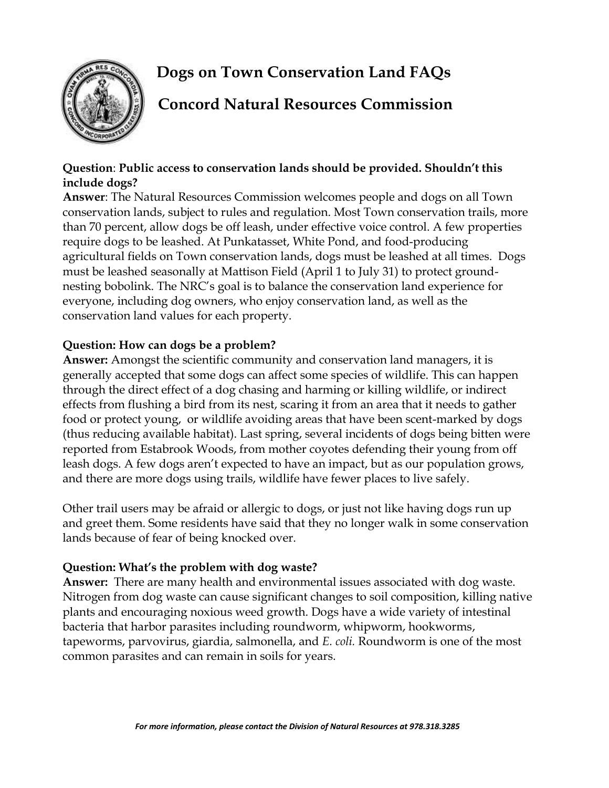# **Dogs on Town Conservation Land FAQs**



# **Concord Natural Resources Commission**

#### **Question**: **Public access to conservation lands should be provided. Shouldn't this include dogs?**

**Answer**: The Natural Resources Commission welcomes people and dogs on all Town conservation lands, subject to rules and regulation. Most Town conservation trails, more than 70 percent, allow dogs be off leash, under effective voice control. A few properties require dogs to be leashed. At Punkatasset, White Pond, and food-producing agricultural fields on Town conservation lands, dogs must be leashed at all times. Dogs must be leashed seasonally at Mattison Field (April 1 to July 31) to protect groundnesting bobolink. The NRC's goal is to balance the conservation land experience for everyone, including dog owners, who enjoy conservation land, as well as the conservation land values for each property.

## **Question: How can dogs be a problem?**

**Answer:** Amongst the scientific community and conservation land managers, it is generally accepted that some dogs can affect some species of wildlife. This can happen through the direct effect of a dog chasing and harming or killing wildlife, or indirect effects from flushing a bird from its nest, scaring it from an area that it needs to gather food or protect young, or wildlife avoiding areas that have been scent-marked by dogs (thus reducing available habitat). Last spring, several incidents of dogs being bitten were reported from Estabrook Woods, from mother coyotes defending their young from off leash dogs. A few dogs aren't expected to have an impact, but as our population grows, and there are more dogs using trails, wildlife have fewer places to live safely.

Other trail users may be afraid or allergic to dogs, or just not like having dogs run up and greet them. Some residents have said that they no longer walk in some conservation lands because of fear of being knocked over.

## **Question: What's the problem with dog waste?**

**Answer:** There are many health and environmental issues associated with dog waste. Nitrogen from dog waste can cause significant changes to soil composition, killing native plants and encouraging noxious weed growth. Dogs have a wide variety of intestinal bacteria that harbor parasites including roundworm, whipworm, hookworms, tapeworms, parvovirus, giardia, salmonella, and *E. coli.* Roundworm is one of the most common parasites and can remain in soils for years.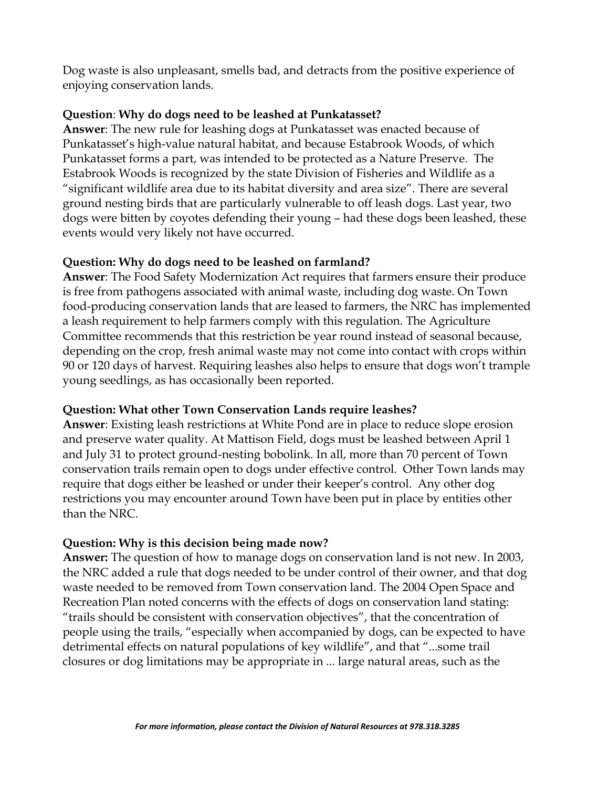Dog waste is also unpleasant, smells bad, and detracts from the positive experience of enjoying conservation lands.

#### **Question**: **Why do dogs need to be leashed at Punkatasset?**

**Answer**: The new rule for leashing dogs at Punkatasset was enacted because of Punkatasset's high-value natural habitat, and because Estabrook Woods, of which Punkatasset forms a part, was intended to be protected as a Nature Preserve. The Estabrook Woods is recognized by the state Division of Fisheries and Wildlife as a "significant wildlife area due to its habitat diversity and area size". There are several ground nesting birds that are particularly vulnerable to off leash dogs. Last year, two dogs were bitten by coyotes defending their young – had these dogs been leashed, these events would very likely not have occurred.

## **Question: Why do dogs need to be leashed on farmland?**

**Answer**: The Food Safety Modernization Act requires that farmers ensure their produce is free from pathogens associated with animal waste, including dog waste. On Town food-producing conservation lands that are leased to farmers, the NRC has implemented a leash requirement to help farmers comply with this regulation. The Agriculture Committee recommends that this restriction be year round instead of seasonal because, depending on the crop, fresh animal waste may not come into contact with crops within 90 or 120 days of harvest. Requiring leashes also helps to ensure that dogs won't trample young seedlings, as has occasionally been reported.

## **Question: What other Town Conservation Lands require leashes?**

**Answer**: Existing leash restrictions at White Pond are in place to reduce slope erosion and preserve water quality. At Mattison Field, dogs must be leashed between April 1 and July 31 to protect ground-nesting bobolink. In all, more than 70 percent of Town conservation trails remain open to dogs under effective control. Other Town lands may require that dogs either be leashed or under their keeper's control. Any other dog restrictions you may encounter around Town have been put in place by entities other than the NRC.

## **Question: Why is this decision being made now?**

**Answer:** The question of how to manage dogs on conservation land is not new. In 2003, the NRC added a rule that dogs needed to be under control of their owner, and that dog waste needed to be removed from Town conservation land. The 2004 Open Space and Recreation Plan noted concerns with the effects of dogs on conservation land stating: "trails should be consistent with conservation objectives", that the concentration of people using the trails, "especially when accompanied by dogs, can be expected to have detrimental effects on natural populations of key wildlife", and that "...some trail closures or dog limitations may be appropriate in ... large natural areas, such as the